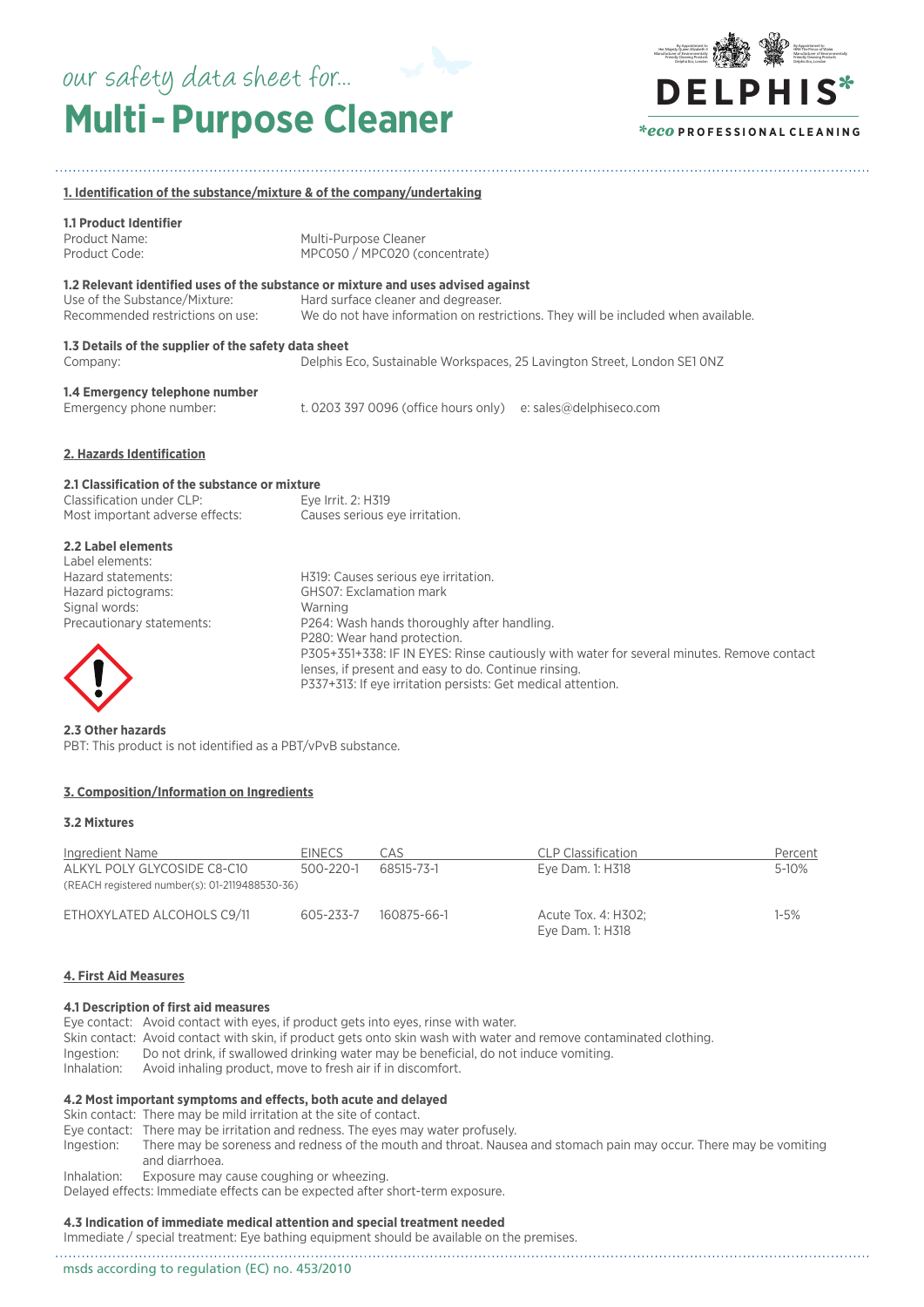# **Multi- Purpose Cleaner** our safety data sheet for...



### **1. Identification of the substance/mixture & of the company/undertaking**

# **1.1 Product Identifier**

Product Name: Multi-Purpose Cleaner<br>Product Code: MPC050 / MPC020 (co MPC050 / MPC020 (concentrate)

# **1.2 Relevant identified uses of the substance or mixture and uses advised against**

Use of the Substance/Mixture: Hard surface cleaner and degreaser. We do not have information on restrictions. They will be included when available.

# **1.3 Details of the supplier of the safety data sheet**

Company: Delphis Eco, Sustainable Workspaces, 25 Lavington Street, London SE1 0NZ

# **1.4 Emergency telephone number**

t. 0203 397 0096 (office hours only) e: sales@delphiseco.com

### **2. Hazards Identification**

# **2.1 Classification of the substance or mixture**

| Classification under CLP:       | Eye Irrit. 2: H319             |
|---------------------------------|--------------------------------|
| Most important adverse effects: | Causes serious eye irritation. |

# **2.2 Label elements**

| Label elements:<br>Hazard statements: | H319: Causes serious eye irritation.                                                      |
|---------------------------------------|-------------------------------------------------------------------------------------------|
| Hazard pictograms:                    | <b>GHSO7: Exclamation mark</b>                                                            |
| Signal words:                         | Warning                                                                                   |
| Precautionary statements:             | P264: Wash hands thoroughly after handling.                                               |
|                                       | P280: Wear hand protection.                                                               |
|                                       | P305+351+338: IF IN EYES: Rinse cautiously with water for several minutes. Remove contact |
| $\sqrt{1}$                            | lenses, if present and easy to do. Continue rinsing.                                      |

P337+313: If eye irritation persists: Get medical attention.



**2.3 Other hazards** PBT: This product is not identified as a PBT/vPvB substance.

# **3. Composition/Information on Ingredients**

### **3.2 Mixtures**

| Ingredient Name<br>ALKYL POLY GLYCOSIDE C8-C10<br>(REACH registered number(s): 01-2119488530-36) | <b>EINECS</b><br>$500 - 220 - 1$ | CAS<br>68515-73-1 | <b>CLP Classification</b><br>Eye Dam. 1: H318 | Percent<br>5-10% |
|--------------------------------------------------------------------------------------------------|----------------------------------|-------------------|-----------------------------------------------|------------------|
| ETHOXYLATED ALCOHOLS C9/11                                                                       | 605-233-7                        | 160875-66-1       | Acute Tox. 4: H302;<br>Eye Dam. 1: H318       | 1-5%             |

# **4. First Aid Measures**

# **4.1 Description of first aid measures**

Eye contact: Avoid contact with eyes, if product gets into eyes, rinse with water. Skin contact: Avoid contact with skin, if product gets onto skin wash with water and remove contaminated clothing. Ingestion: Do not drink, if swallowed drinking water may be beneficial, do not induce vomiting. Inhalation: Avoid inhaling product, move to fresh air if in discomfort.

# **4.2 Most important symptoms and effects, both acute and delayed**

Skin contact: There may be mild irritation at the site of contact.

- 
- Eye contact: There may be irritation and redness. The eyes may water profusely.<br>Ingestion: There may be soreness and redness of the mouth and throat. Nause There may be soreness and redness of the mouth and throat. Nausea and stomach pain may occur. There may be vomiting and diarrhoea.
- Inhalation: Exposure may cause coughing or wheezing.

Delayed effects: Immediate effects can be expected after short-term exposure.

# **4.3 Indication of immediate medical attention and special treatment needed**

Immediate / special treatment: Eye bathing equipment should be available on the premises.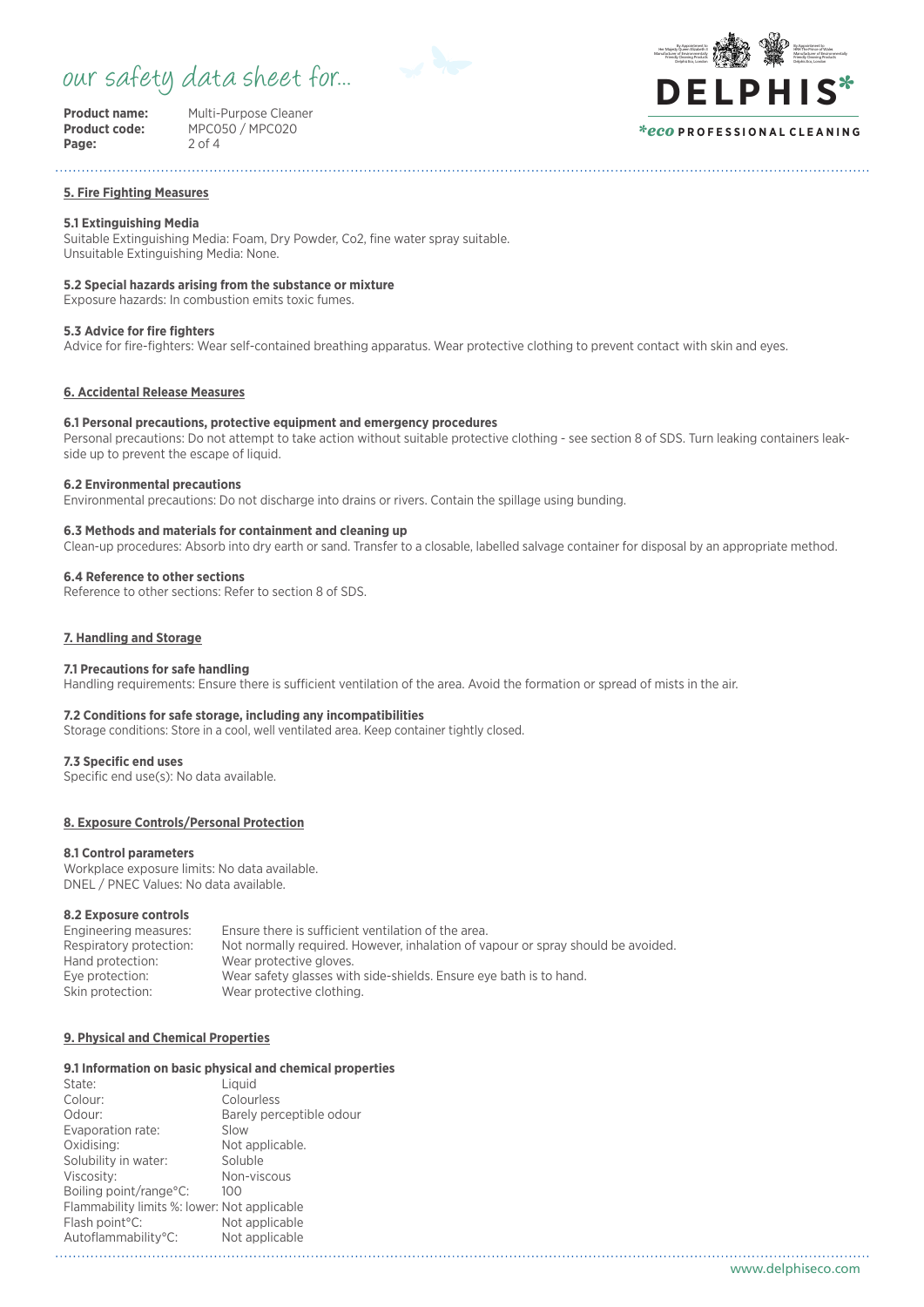# our safety data sheet for...



Page:

**Product name:** Multi-Purpose Cleaner<br>**Product code:** MPC050 / MPC020 **Product code:** MPC020<br>2 of 4

#### By Appointment to **HRH The Prince of Wale** Manufacturer of Environmentally Friendly Cleaning Products Delphis Eco, London By Appointment to Her Majesty Queen Elizabeth I Manufacturer of Environmentally Friendly Cleaning Products Delphis Eco, London **DE LPHIS**\* *\*eco* **P R O F E S S I O N A L C L E A N I N G**

#### **5. Fire Fighting Measures**

# **5.1 Extinguishing Media**

Suitable Extinguishing Media: Foam, Dry Powder, Co2, fine water spray suitable. Unsuitable Extinguishing Media: None.

# **5.2 Special hazards arising from the substance or mixture**

Exposure hazards: In combustion emits toxic fumes.

# **5.3 Advice for fire fighters**

Advice for fire-fighters: Wear self-contained breathing apparatus. Wear protective clothing to prevent contact with skin and eyes.

# **6. Accidental Release Measures**

# **6.1 Personal precautions, protective equipment and emergency procedures**

Personal precautions: Do not attempt to take action without suitable protective clothing - see section 8 of SDS. Turn leaking containers leakside up to prevent the escape of liquid.

## **6.2 Environmental precautions**

Environmental precautions: Do not discharge into drains or rivers. Contain the spillage using bunding.

# **6.3 Methods and materials for containment and cleaning up**

Clean-up procedures: Absorb into dry earth or sand. Transfer to a closable, labelled salvage container for disposal by an appropriate method.

### **6.4 Reference to other sections**

Reference to other sections: Refer to section 8 of SDS.

# **7. Handling and Storage**

#### **7.1 Precautions for safe handling**

Handling requirements: Ensure there is sufficient ventilation of the area. Avoid the formation or spread of mists in the air.

#### **7.2 Conditions for safe storage, including any incompatibilities**

Storage conditions: Store in a cool, well ventilated area. Keep container tightly closed.

#### **7.3 Specific end uses**

Specific end use(s): No data available.

### **8. Exposure Controls/Personal Protection**

#### **8.1 Control parameters**

Workplace exposure limits: No data available. DNEL / PNEC Values: No data available.

### **8.2 Exposure controls**

| Engineering measures:   | Ensure there is sufficient ventilation of the area.                              |
|-------------------------|----------------------------------------------------------------------------------|
| Respiratory protection: | Not normally required. However, inhalation of vapour or spray should be avoided. |
| Hand protection:        | Wear protective gloves.                                                          |
| Eve protection:         | Wear safety glasses with side-shields. Ensure eye bath is to hand.               |
| Skin protection:        | Wear protective clothing.                                                        |

# **9. Physical and Chemical Properties**

## **9.1 Information on basic physical and chemical properties**

| State:                                       | Liauid                   |
|----------------------------------------------|--------------------------|
| Colour:                                      | Colourless               |
| Odour:                                       | Barely perceptible odour |
| Evaporation rate:                            | Slow                     |
| Oxidising:                                   | Not applicable.          |
| Solubility in water:                         | Soluble                  |
| Viscosity:                                   | Non-viscous              |
| Boiling point/range°C:                       | 100                      |
| Flammability limits %: lower: Not applicable |                          |
| Flash point <sup>°</sup> C:                  | Not applicable           |
| Autoflammability°C:                          | Not applicable           |
|                                              |                          |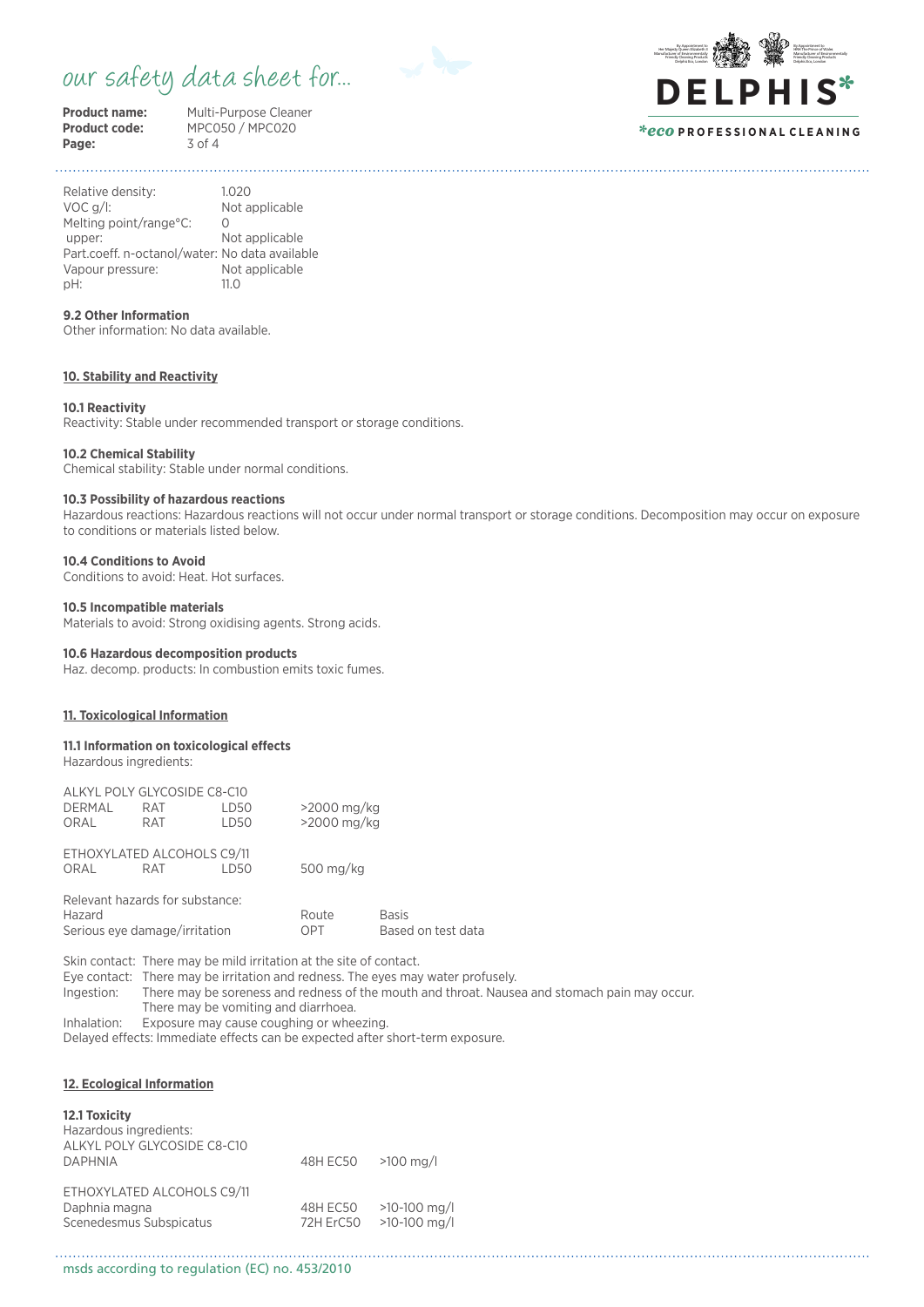# our safety data sheet for...



Page:

**Product name:** Multi-Purpose Cleaner<br> **Product code:** MPC050 / MPC020 **Product code:**<br>MPC050 / MPC020<br>3 of 4



*\*eco* **P R O F E S S I O N A L C L E A N I N G**

Relative density: 1.020 VOC g/l: Not applicable Melting point/range°C: 0 upper: Not applicable Part.coeff. n-octanol/water: No data available Vapour pressure: Not applicable<br>
oH: 11.0 pH: 11.0

# **9.2 Other Information**

Other information: No data available.

# **10. Stability and Reactivity**

#### **10.1 Reactivity**

Reactivity: Stable under recommended transport or storage conditions.

# **10.2 Chemical Stability**

Chemical stability: Stable under normal conditions.

### **10.3 Possibility of hazardous reactions**

Hazardous reactions: Hazardous reactions will not occur under normal transport or storage conditions. Decomposition may occur on exposure to conditions or materials listed below.

## **10.4 Conditions to Avoid**

Conditions to avoid: Heat. Hot surfaces.

# **10.5 Incompatible materials**

Materials to avoid: Strong oxidising agents. Strong acids.

# **10.6 Hazardous decomposition products**

Haz. decomp. products: In combustion emits toxic fumes.

# **11. Toxicological Information**

**11.1 Information on toxicological effects** Hazardous ingredients:

|                               | ALKYL POLY GLYCOSIDE C8-C10     |      |               |                    |
|-------------------------------|---------------------------------|------|---------------|--------------------|
| <b>DERMAL</b>                 | <b>RAT</b>                      | LD50 | $>2000$ mg/kg |                    |
| ORAL                          | RAT.                            | LD50 | >2000 mg/kg   |                    |
|                               | ETHOXYLATED ALCOHOLS C9/11      |      |               |                    |
| ORAL                          | RAT                             | LD50 | 500 mg/kg     |                    |
|                               | Relevant hazards for substance: |      |               |                    |
| Hazard                        |                                 |      | Route         | <b>Basis</b>       |
| Serious eye damage/irritation |                                 |      | OPT           | Based on test data |

Skin contact: There may be mild irritation at the site of contact. Eye contact: There may be irritation and redness. The eyes may water profusely. Ingestion: There may be soreness and redness of the mouth and throat. Nausea and stomach pain may occur. There may be vomiting and diarrhoea. Inhalation: Exposure may cause coughing or wheezing.

Delayed effects: Immediate effects can be expected after short-term exposure.

# **12. Ecological Information**

| 12.1 Toxicity                                                          |                       |                                 |
|------------------------------------------------------------------------|-----------------------|---------------------------------|
| Hazardous ingredients:                                                 |                       |                                 |
| ALKYL POLY GLYCOSIDE C8-C10<br><b>DAPHNIA</b>                          | 48H EC50              | $>100$ mg/                      |
| ETHOXYLATED ALCOHOLS C9/11<br>Daphnia magna<br>Scenedesmus Subspicatus | 48H EC50<br>72H ErC50 | $>10-100$ mg/l<br>$>10-100$ mg/ |

msds according to regulation (EC) no. 453/2010